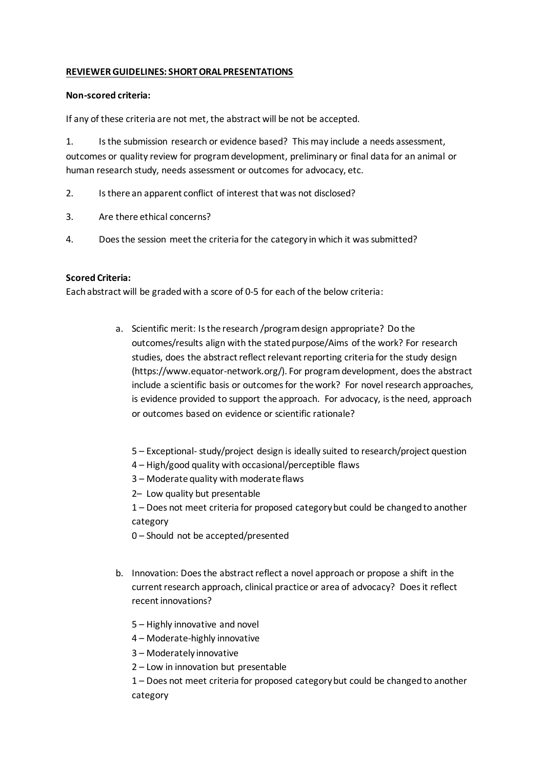## **REVIEWER GUIDELINES: SHORT ORAL PRESENTATIONS**

## **Non-scored criteria:**

If any of these criteria are not met, the abstract will be not be accepted.

1. Is the submission research or evidence based? This may include a needs assessment, outcomes or quality review for program development, preliminary or final data for an animal or human research study, needs assessment or outcomes for advocacy, etc.

- 2. Is there an apparent conflict of interest that was not disclosed?
- 3. Are there ethical concerns?
- 4. Does the session meet the criteria for the category in which it was submitted?

## **Scored Criteria:**

Each abstract will be graded with a score of 0-5 for each of the below criteria:

- a. Scientific merit: Is the research /program design appropriate? Do the outcomes/results align with the stated purpose/Aims of the work? For research studies, does the abstract reflect relevant reporting criteria for the study design (https://www.equator-network.org/). For program development, does the abstract include a scientific basis or outcomes for the work? For novel research approaches, is evidence provided to support the approach. For advocacy, is the need, approach or outcomes based on evidence or scientific rationale?
	- 5 Exceptional- study/project design is ideally suited to research/project question
	- 4 High/good quality with occasional/perceptible flaws
	- 3 Moderate quality with moderate flaws
	- 2– Low quality but presentable
	- 1 Does not meet criteria for proposed category but could be changed to another category
	- 0 Should not be accepted/presented
- b. Innovation: Does the abstract reflect a novel approach or propose a shift in the current research approach, clinical practice or area of advocacy? Does it reflect recent innovations?
	- 5 Highly innovative and novel
	- 4 Moderate-highly innovative
	- 3 Moderately innovative
	- 2 Low in innovation but presentable

1 – Does not meet criteria for proposed category but could be changed to another category